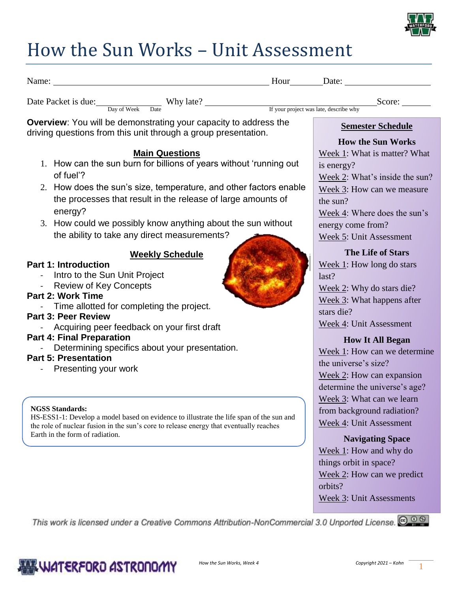

## How the Sun Works – Unit Assessment

| Name: Name: Name: Name: Name: Name: Name: Name: Name: Name: Name: Name: Name: Name: Name: Name: Name: Name: Name: Name: Name: Name: Name: Name: Name: Name: Name: Name: Name: Name: Name: Name: Name: Name: Name: Name: Name:                                                                                                                                                                                              |                                                                                                                                                                                                                                                                                                                        |
|----------------------------------------------------------------------------------------------------------------------------------------------------------------------------------------------------------------------------------------------------------------------------------------------------------------------------------------------------------------------------------------------------------------------------|------------------------------------------------------------------------------------------------------------------------------------------------------------------------------------------------------------------------------------------------------------------------------------------------------------------------|
| Date Packet is due: Dav of Week Date Why late?<br>If your project was late, describe why                                                                                                                                                                                                                                                                                                                                   | Score:                                                                                                                                                                                                                                                                                                                 |
| Overview: You will be demonstrating your capacity to address the                                                                                                                                                                                                                                                                                                                                                           | <b>Semester Schedule</b>                                                                                                                                                                                                                                                                                               |
| driving questions from this unit through a group presentation.<br><b>Main Questions</b><br>1. How can the sun burn for billions of years without 'running out<br>of fuel'?<br>2. How does the sun's size, temperature, and other factors enable<br>the processes that result in the release of large amounts of<br>energy?                                                                                                 | <b>How the Sun Works</b><br>Week 1: What is matter? What<br>is energy?<br>Week 2: What's inside the sun?<br>Week 3: How can we measure<br>the sun?<br>Week 4: Where does the sun's                                                                                                                                     |
| 3. How could we possibly know anything about the sun without<br>the ability to take any direct measurements?                                                                                                                                                                                                                                                                                                               | energy come from?<br>Week 5: Unit Assessment                                                                                                                                                                                                                                                                           |
| <b>Weekly Schedule</b><br><b>Part 1: Introduction</b><br>Intro to the Sun Unit Project<br><b>Review of Key Concepts</b><br><b>Part 2: Work Time</b><br>Time allotted for completing the project.<br><b>Part 3: Peer Review</b><br>Acquiring peer feedback on your first draft<br><b>Part 4: Final Preparation</b><br>Determining specifics about your presentation.<br><b>Part 5: Presentation</b><br>Presenting your work | <b>The Life of Stars</b><br>Week $1$ : How long do stars<br>last?<br>Week 2: Why do stars die?<br>Week 3: What happens after<br>stars die?<br>Week 4: Unit Assessment<br><b>How It All Began</b><br>Week 1: How can we determine<br>the universe's size?<br>Week 2: How can expansion<br>determine the universe's age? |
| <b>NGSS Standards:</b><br>HS-ESS1-1: Develop a model based on evidence to illustrate the life span of the sun and<br>the role of nuclear fusion in the sun's core to release energy that eventually reaches<br>Earth in the form of radiation.                                                                                                                                                                             | Week 3: What can we learn<br>from background radiation?<br>Week 4: Unit Assessment<br><b>Navigating Space</b><br>Week 1: How and why do                                                                                                                                                                                |
| This work is licensed under a Creative Commons Attribution-NonCommercial 3.0 Unported License. @ 0 @                                                                                                                                                                                                                                                                                                                       | things orbit in space?<br>Week 2: How can we predict<br>orbits?<br>Week 3: Unit Assessments                                                                                                                                                                                                                            |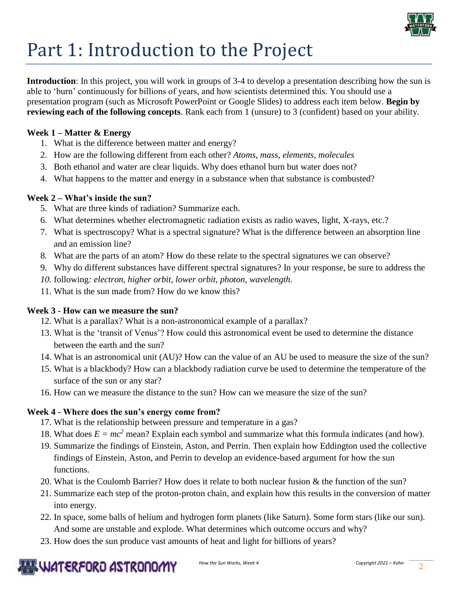

# Part 1: Introduction to the Project

**Introduction**: In this project, you will work in groups of 3-4 to develop a presentation describing how the sun is able to 'burn' continuously for billions of years, and how scientists determined this. You should use a presentation program (such as Microsoft PowerPoint or Google Slides) to address each item below. **Begin by reviewing each of the following concepts**. Rank each from 1 (unsure) to 3 (confident) based on your ability.

#### **Week 1 – Matter & Energy**

- 1. What is the difference between matter and energy?
- 2. How are the following different from each other? *Atoms, mass, elements, molecules*
- 3. Both ethanol and water are clear liquids. Why does ethanol burn but water does not?
- 4. What happens to the matter and energy in a substance when that substance is combusted?

#### **Week 2 – What's inside the sun?**

- 5. What are three kinds of radiation? Summarize each.
- 6. What determines whether electromagnetic radiation exists as radio waves, light, X-rays, etc.?
- 7. What is spectroscopy? What is a spectral signature? What is the difference between an absorption line and an emission line?
- 8. What are the parts of an atom? How do these relate to the spectral signatures we can observe?
- 9. Why do different substances have different spectral signatures? In your response, be sure to address the
- *10.* following*: electron, higher orbit, lower orbit, photon, wavelength.*
- 11. What is the sun made from? How do we know this?

#### **Week 3 - How can we measure the sun?**

- 12. What is a parallax? What is a non-astronomical example of a parallax?
- 13. What is the 'transit of Venus'? How could this astronomical event be used to determine the distance between the earth and the sun?
- 14. What is an astronomical unit (AU)? How can the value of an AU be used to measure the size of the sun?
- 15. What is a blackbody? How can a blackbody radiation curve be used to determine the temperature of the surface of the sun or any star?
- 16. How can we measure the distance to the sun? How can we measure the size of the sun?

#### **Week 4 - Where does the sun's energy come from?**

- 17. What is the relationship between pressure and temperature in a gas?
- 18. What does  $E = mc^2$  mean? Explain each symbol and summarize what this formula indicates (and how).
- 19. Summarize the findings of Einstein, Aston, and Perrin. Then explain how Eddington used the collective findings of Einstein, Aston, and Perrin to develop an evidence-based argument for how the sun functions.
- 20. What is the Coulomb Barrier? How does it relate to both nuclear fusion & the function of the sun?
- 21. Summarize each step of the proton-proton chain, and explain how this results in the conversion of matter into energy.
- 22. In space, some balls of helium and hydrogen form planets (like Saturn). Some form stars (like our sun). And some are unstable and explode. What determines which outcome occurs and why?
- 23. How does the sun produce vast amounts of heat and light for billions of years?

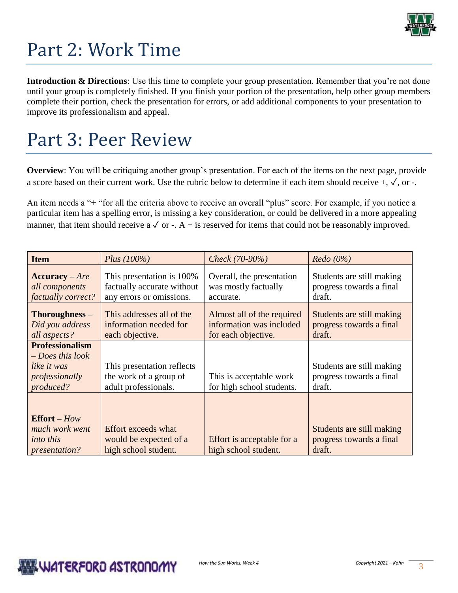

## Part 2: Work Time

**Introduction & Directions**: Use this time to complete your group presentation. Remember that you're not done until your group is completely finished. If you finish your portion of the presentation, help other group members complete their portion, check the presentation for errors, or add additional components to your presentation to improve its professionalism and appeal.

### Part 3: Peer Review

**Overview**: You will be critiquing another group's presentation. For each of the items on the next page, provide a score based on their current work. Use the rubric below to determine if each item should receive +, ✓, or -.

An item needs a "+ "for all the criteria above to receive an overall "plus" score. For example, if you notice a particular item has a spelling error, is missing a key consideration, or could be delivered in a more appealing manner, that item should receive a  $\sqrt{$  or -. A + is reserved for items that could not be reasonably improved.

| <b>Item</b>                                                                                | Plus $(100\%)$                                                                      | Check (70-90%)                                                                | Redo(0%)                                                        |  |
|--------------------------------------------------------------------------------------------|-------------------------------------------------------------------------------------|-------------------------------------------------------------------------------|-----------------------------------------------------------------|--|
| $Accuracy - Are$<br>all components<br>factually correct?                                   | This presentation is 100%<br>factually accurate without<br>any errors or omissions. | Overall, the presentation<br>was mostly factually<br>accurate.                | Students are still making<br>progress towards a final<br>draft. |  |
| Thoroughness -<br>Did you address<br>all aspects?                                          | This addresses all of the<br>information needed for<br>each objective.              | Almost all of the required<br>information was included<br>for each objective. | Students are still making<br>progress towards a final<br>draft. |  |
| <b>Professionalism</b><br>$-$ Does this look<br>like it was<br>professionally<br>produced? | This presentation reflects<br>the work of a group of<br>adult professionals.        | This is acceptable work<br>for high school students.                          | Students are still making<br>progress towards a final<br>draft. |  |
| $Effort-How$<br>much work went<br><i>into this</i><br><i>presentation?</i>                 | <b>Effort exceeds what</b><br>would be expected of a<br>high school student.        | Effort is acceptable for a<br>high school student.                            | Students are still making<br>progress towards a final<br>draft. |  |

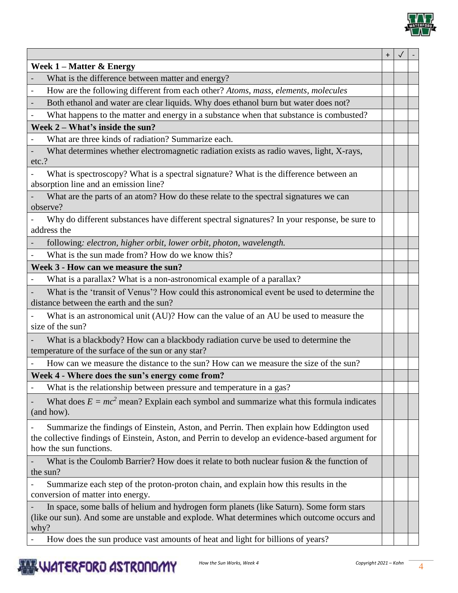

|                                                                                                                                                                                                                      | $\pmb{+}$ |  |  |
|----------------------------------------------------------------------------------------------------------------------------------------------------------------------------------------------------------------------|-----------|--|--|
| Week $1 -$ Matter & Energy                                                                                                                                                                                           |           |  |  |
| What is the difference between matter and energy?                                                                                                                                                                    |           |  |  |
| How are the following different from each other? Atoms, mass, elements, molecules<br>$\blacksquare$                                                                                                                  |           |  |  |
| Both ethanol and water are clear liquids. Why does ethanol burn but water does not?                                                                                                                                  |           |  |  |
| What happens to the matter and energy in a substance when that substance is combusted?<br>$\blacksquare$                                                                                                             |           |  |  |
| Week $2 - What's inside the sun?$                                                                                                                                                                                    |           |  |  |
| What are three kinds of radiation? Summarize each.                                                                                                                                                                   |           |  |  |
| What determines whether electromagnetic radiation exists as radio waves, light, X-rays,                                                                                                                              |           |  |  |
| etc.?                                                                                                                                                                                                                |           |  |  |
| What is spectroscopy? What is a spectral signature? What is the difference between an                                                                                                                                |           |  |  |
| absorption line and an emission line?                                                                                                                                                                                |           |  |  |
| What are the parts of an atom? How do these relate to the spectral signatures we can<br>observe?                                                                                                                     |           |  |  |
| Why do different substances have different spectral signatures? In your response, be sure to<br>address the                                                                                                          |           |  |  |
| following: electron, higher orbit, lower orbit, photon, wavelength.                                                                                                                                                  |           |  |  |
| What is the sun made from? How do we know this?                                                                                                                                                                      |           |  |  |
| Week 3 - How can we measure the sun?                                                                                                                                                                                 |           |  |  |
| What is a parallax? What is a non-astronomical example of a parallax?                                                                                                                                                |           |  |  |
| What is the 'transit of Venus'? How could this astronomical event be used to determine the                                                                                                                           |           |  |  |
| distance between the earth and the sun?                                                                                                                                                                              |           |  |  |
| What is an astronomical unit (AU)? How can the value of an AU be used to measure the                                                                                                                                 |           |  |  |
| size of the sun?                                                                                                                                                                                                     |           |  |  |
| What is a blackbody? How can a blackbody radiation curve be used to determine the                                                                                                                                    |           |  |  |
| temperature of the surface of the sun or any star?                                                                                                                                                                   |           |  |  |
| How can we measure the distance to the sun? How can we measure the size of the sun?                                                                                                                                  |           |  |  |
| Week 4 - Where does the sun's energy come from?                                                                                                                                                                      |           |  |  |
| What is the relationship between pressure and temperature in a gas?                                                                                                                                                  |           |  |  |
| What does $E = mc^2$ mean? Explain each symbol and summarize what this formula indicates<br>(and how).                                                                                                               |           |  |  |
| Summarize the findings of Einstein, Aston, and Perrin. Then explain how Eddington used<br>the collective findings of Einstein, Aston, and Perrin to develop an evidence-based argument for<br>how the sun functions. |           |  |  |
| What is the Coulomb Barrier? How does it relate to both nuclear fusion $\&$ the function of<br>the sun?                                                                                                              |           |  |  |
| Summarize each step of the proton-proton chain, and explain how this results in the<br>conversion of matter into energy.                                                                                             |           |  |  |
| In space, some balls of helium and hydrogen form planets (like Saturn). Some form stars<br>(like our sun). And some are unstable and explode. What determines which outcome occurs and<br>why?                       |           |  |  |
| How does the sun produce vast amounts of heat and light for billions of years?                                                                                                                                       |           |  |  |

Ξ